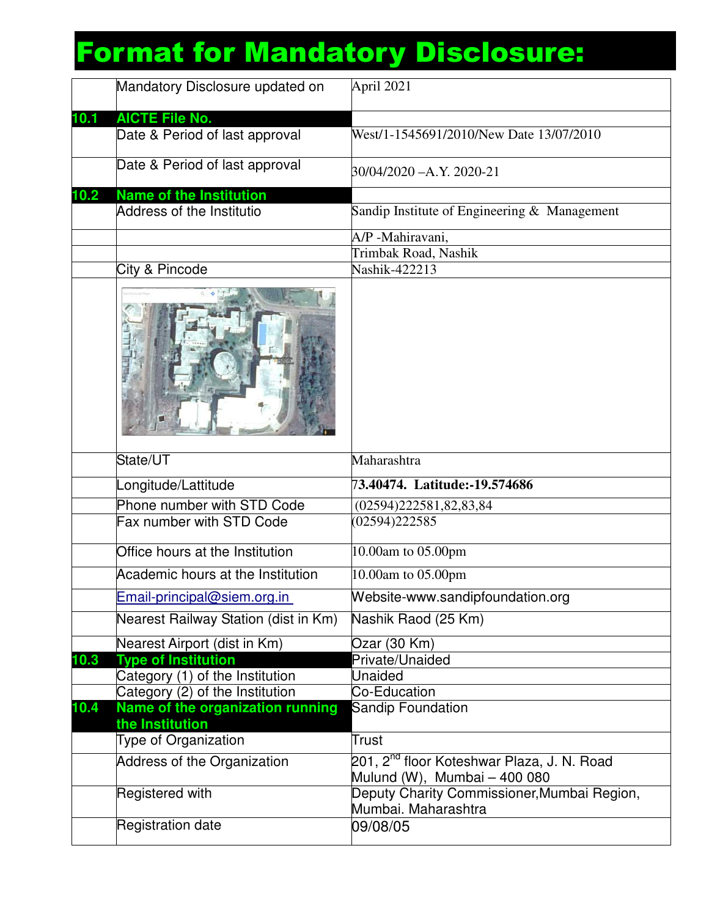# Format for Mandatory Disclosure:

|      | Mandatory Disclosure updated on                     | April 2021                                                                             |
|------|-----------------------------------------------------|----------------------------------------------------------------------------------------|
| 10.1 | <b>AICTE File No.</b>                               |                                                                                        |
|      | Date & Period of last approval                      | West/1-1545691/2010/New Date 13/07/2010                                                |
|      | Date & Period of last approval                      | 30/04/2020 - A.Y. 2020-21                                                              |
| 10.2 | <b>Name of the Institution</b>                      |                                                                                        |
|      | Address of the Institutio                           | Sandip Institute of Engineering & Management                                           |
|      |                                                     | A/P -Mahiravani,                                                                       |
|      |                                                     | Trimbak Road, Nashik                                                                   |
|      | City & Pincode                                      | Nashik-422213                                                                          |
|      |                                                     |                                                                                        |
|      | State/UT                                            | Maharashtra                                                                            |
|      | Longitude/Lattitude                                 | 73.40474. Latitude:-19.574686                                                          |
|      | Phone number with STD Code                          | (02594)222581,82,83,84                                                                 |
|      | Fax number with STD Code                            | (02594)222585                                                                          |
|      | Office hours at the Institution                     | 10.00am to 05.00pm                                                                     |
|      | Academic hours at the Institution                   | 10.00am to 05.00pm                                                                     |
|      | Email-principal@siem.org.in                         | Website-www.sandipfoundation.org                                                       |
|      | Nearest Railway Station (dist in Km)                | Nashik Raod (25 Km)                                                                    |
|      | Nearest Airport (dist in Km)                        | Ozar (30 Km)                                                                           |
| 10.3 | <b>Type of Institution</b>                          | Private/Unaided                                                                        |
|      | Category (1) of the Institution                     | Unaided                                                                                |
|      | Category (2) of the Institution                     | Co-Education                                                                           |
| 10.4 | Name of the organization running<br>the Institution | <b>Sandip Foundation</b>                                                               |
|      | <b>Type of Organization</b>                         | Trust                                                                                  |
|      | Address of the Organization                         | 201, 2 <sup>nd</sup> floor Koteshwar Plaza, J. N. Road<br>Mulund (W), Mumbai - 400 080 |
|      | Registered with                                     | Deputy Charity Commissioner, Mumbai Region,<br>Mumbai. Maharashtra                     |
|      | Registration date                                   | 09/08/05                                                                               |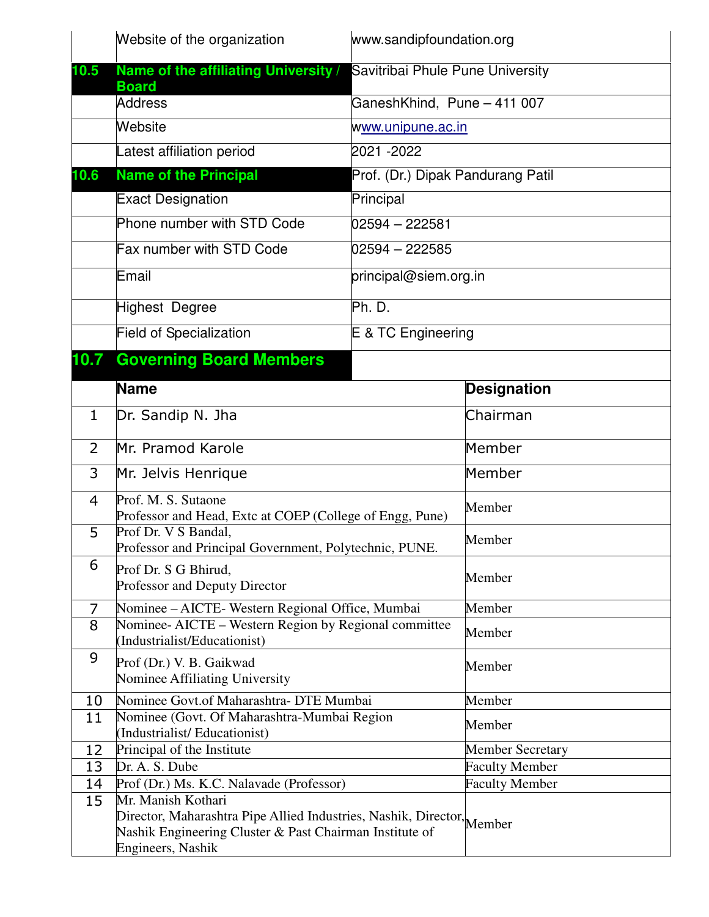|      | Website of the organization                                                                                                                                                  | www.sandipfoundation.org          |                         |  |  |
|------|------------------------------------------------------------------------------------------------------------------------------------------------------------------------------|-----------------------------------|-------------------------|--|--|
| 10.5 | <b>Name of the affiliating University / Savitribai Phule Pune University</b><br><b>Board</b>                                                                                 |                                   |                         |  |  |
|      | <b>Address</b>                                                                                                                                                               | GaneshKhind, Pune - 411 007       |                         |  |  |
|      | Website                                                                                                                                                                      | www.unipune.ac.in                 |                         |  |  |
|      | Latest affiliation period                                                                                                                                                    | 2021 - 2022                       |                         |  |  |
| 10.6 | <b>Name of the Principal</b>                                                                                                                                                 | Prof. (Dr.) Dipak Pandurang Patil |                         |  |  |
|      | <b>Exact Designation</b>                                                                                                                                                     | Principal                         |                         |  |  |
|      | Phone number with STD Code                                                                                                                                                   | $02594 - 222581$                  |                         |  |  |
|      | Fax number with STD Code                                                                                                                                                     | 02594 - 222585                    |                         |  |  |
|      | Email                                                                                                                                                                        | principal@siem.org.in             |                         |  |  |
|      | <b>Highest Degree</b>                                                                                                                                                        | Ph. D.                            |                         |  |  |
|      | <b>Field of Specialization</b>                                                                                                                                               | E & TC Engineering                |                         |  |  |
| 10.7 | <b>Governing Board Members</b>                                                                                                                                               |                                   |                         |  |  |
|      | <b>Name</b>                                                                                                                                                                  |                                   | <b>Designation</b>      |  |  |
| 1    | Dr. Sandip N. Jha                                                                                                                                                            |                                   | Chairman                |  |  |
| 2    | Mr. Pramod Karole                                                                                                                                                            |                                   | Member                  |  |  |
| 3    | Mr. Jelvis Henrique                                                                                                                                                          |                                   | Member                  |  |  |
| 4    | Prof. M. S. Sutaone<br>Professor and Head, Extc at COEP (College of Engg, Pune)                                                                                              |                                   | Member                  |  |  |
| 5    | Prof Dr. V S Bandal,<br>Professor and Principal Government, Polytechnic, PUNE.                                                                                               |                                   | Member                  |  |  |
| 6    | Prof Dr. S G Bhirud,<br><b>Professor and Deputy Director</b>                                                                                                                 |                                   | Member                  |  |  |
| 7    | Nominee – AICTE- Western Regional Office, Mumbai                                                                                                                             |                                   | Member                  |  |  |
| 8    | Nominee- AICTE – Western Region by Regional committee<br>(Industrialist/Educationist)                                                                                        |                                   | Member                  |  |  |
| 9    | Prof (Dr.) V. B. Gaikwad<br>Nominee Affiliating University                                                                                                                   |                                   | Member                  |  |  |
| 10   | Nominee Govt.of Maharashtra- DTE Mumbai                                                                                                                                      |                                   | Member                  |  |  |
| 11   | Nominee (Govt. Of Maharashtra-Mumbai Region<br>(Industrialist/Educationist)                                                                                                  |                                   | Member                  |  |  |
| 12   | Principal of the Institute                                                                                                                                                   |                                   | <b>Member Secretary</b> |  |  |
| 13   | Dr. A. S. Dube                                                                                                                                                               |                                   | <b>Faculty Member</b>   |  |  |
| 14   | Prof (Dr.) Ms. K.C. Nalavade (Professor)                                                                                                                                     |                                   | <b>Faculty Member</b>   |  |  |
| 15   | Mr. Manish Kothari<br>Director, Maharashtra Pipe Allied Industries, Nashik, Director, Member<br>Nashik Engineering Cluster & Past Chairman Institute of<br>Engineers, Nashik |                                   |                         |  |  |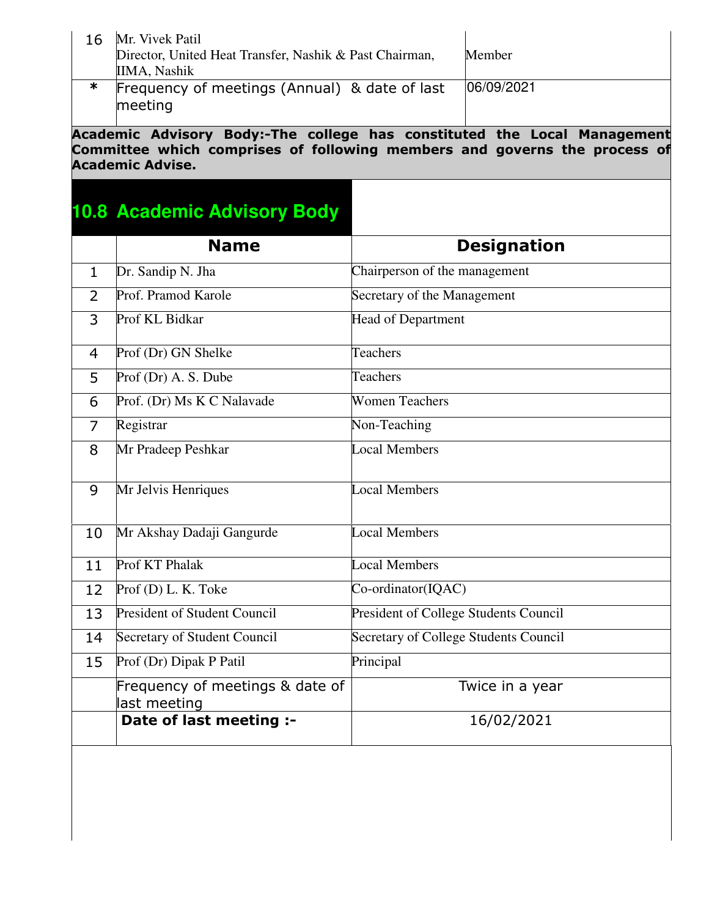| $\ast$       | Mr. Vivek Patil<br>Director, United Heat Transfer, Nashik & Past Chairman,<br><b>IIMA, Nashik</b>                                                                                |                                       | Member<br>06/09/2021 |
|--------------|----------------------------------------------------------------------------------------------------------------------------------------------------------------------------------|---------------------------------------|----------------------|
|              | Frequency of meetings (Annual) & date of last<br>meeting                                                                                                                         |                                       |                      |
|              | Academic Advisory Body:-The college has constituted the Local Management<br>Committee which comprises of following members and governs the process of<br><b>Academic Advise.</b> |                                       |                      |
|              | <b>10.8 Academic Advisory Body</b>                                                                                                                                               |                                       |                      |
|              | <b>Name</b>                                                                                                                                                                      |                                       | <b>Designation</b>   |
| $\mathbf{1}$ | Dr. Sandip N. Jha                                                                                                                                                                | Chairperson of the management         |                      |
| 2            | Prof. Pramod Karole                                                                                                                                                              | Secretary of the Management           |                      |
| 3            | Prof KL Bidkar                                                                                                                                                                   | <b>Head of Department</b>             |                      |
| 4            | Prof (Dr) GN Shelke                                                                                                                                                              | Teachers                              |                      |
| 5            | Prof (Dr) A. S. Dube                                                                                                                                                             | Teachers                              |                      |
| 6            | Prof. (Dr) Ms K C Nalavade                                                                                                                                                       | <b>Women Teachers</b>                 |                      |
| 7            | Registrar                                                                                                                                                                        | Non-Teaching                          |                      |
| 8            | Mr Pradeep Peshkar                                                                                                                                                               | <b>Local Members</b>                  |                      |
| 9            | Mr Jelvis Henriques                                                                                                                                                              | <b>Local Members</b>                  |                      |
| 10           | Mr Akshay Dadaji Gangurde                                                                                                                                                        | <b>Local Members</b>                  |                      |
| 11           | Prof KT Phalak                                                                                                                                                                   | <b>Local Members</b>                  |                      |
| 12           | Prof (D) L. K. Toke                                                                                                                                                              | Co-ordinator(IQAC)                    |                      |
| 13           | <b>President of Student Council</b>                                                                                                                                              | President of College Students Council |                      |
| 14           | Secretary of Student Council                                                                                                                                                     | Secretary of College Students Council |                      |
| 15           | Prof (Dr) Dipak P Patil                                                                                                                                                          | Principal                             |                      |
|              | Frequency of meetings & date of<br>last meeting                                                                                                                                  |                                       | Twice in a year      |
|              | Date of last meeting :-                                                                                                                                                          |                                       | 16/02/2021           |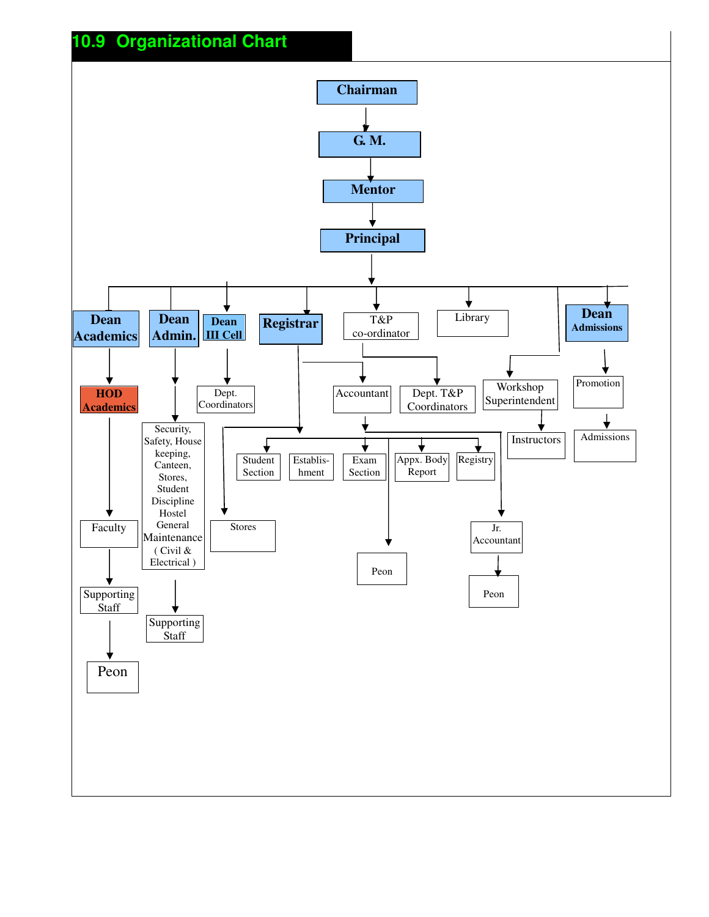### **10.9 Organizational Chart**

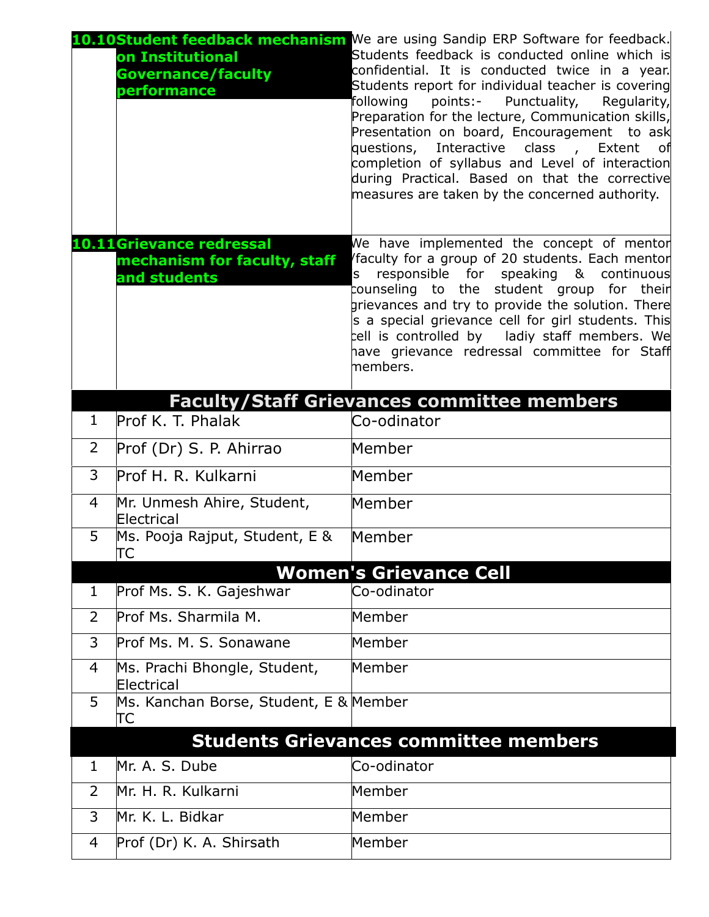|              |                                                                                 | <b>10.10Student feedback mechanism</b> We are using Sandip ERP Software for feedback.                                                                                                                                                                                                                                                                                                                                                                                                                                  |
|--------------|---------------------------------------------------------------------------------|------------------------------------------------------------------------------------------------------------------------------------------------------------------------------------------------------------------------------------------------------------------------------------------------------------------------------------------------------------------------------------------------------------------------------------------------------------------------------------------------------------------------|
|              | on Institutional<br><b>Governance/faculty</b><br>performance                    | Students feedback is conducted online which is<br>confidential. It is conducted twice in a year.<br>Students report for individual teacher is covering<br>following<br>points:-<br>Punctuality,<br>Regularity,<br>Preparation for the lecture, Communication skills,<br>Presentation on board, Encouragement to ask<br>questions, Interactive class , Extent of<br>completion of syllabus and Level of interaction<br>during Practical. Based on that the corrective<br>measures are taken by the concerned authority. |
|              | <b>10.11Grievance redressal</b><br>mechanism for faculty, staff<br>and students | We have implemented the concept of mentor<br>faculty for a group of 20 students. Each mentor<br>responsible for speaking & continuous<br>counseling to the student group for their<br>grievances and try to provide the solution. There<br>is a special grievance cell for girl students. This<br>cell is controlled by ladiy staff members. We<br>have grievance redressal committee for Staff<br>members.                                                                                                            |
|              |                                                                                 | <b>Faculty/Staff Grievances committee members</b>                                                                                                                                                                                                                                                                                                                                                                                                                                                                      |
| $\mathbf{1}$ | Prof K. T. Phalak                                                               | Co-odinator                                                                                                                                                                                                                                                                                                                                                                                                                                                                                                            |
| 2            | Prof (Dr) S. P. Ahirrao                                                         | Member                                                                                                                                                                                                                                                                                                                                                                                                                                                                                                                 |
| 3            | Prof H. R. Kulkarni                                                             | Member                                                                                                                                                                                                                                                                                                                                                                                                                                                                                                                 |
| 4            | Mr. Unmesh Ahire, Student,<br>Electrical                                        | Member                                                                                                                                                                                                                                                                                                                                                                                                                                                                                                                 |
| 5            | Ms. Pooja Rajput, Student, E &<br>TС                                            | Member                                                                                                                                                                                                                                                                                                                                                                                                                                                                                                                 |
|              |                                                                                 | <b>Women's Grievance Cell</b>                                                                                                                                                                                                                                                                                                                                                                                                                                                                                          |
| 1            | Prof Ms. S. K. Gajeshwar                                                        | Co-odinator                                                                                                                                                                                                                                                                                                                                                                                                                                                                                                            |
| 2            | Prof Ms. Sharmila M.                                                            | Member                                                                                                                                                                                                                                                                                                                                                                                                                                                                                                                 |
| 3            | Prof Ms. M. S. Sonawane                                                         | Member                                                                                                                                                                                                                                                                                                                                                                                                                                                                                                                 |
| 4            | Ms. Prachi Bhongle, Student,<br>Electrical                                      | Member                                                                                                                                                                                                                                                                                                                                                                                                                                                                                                                 |
| 5            | Ms. Kanchan Borse, Student, E & Member<br>TС                                    |                                                                                                                                                                                                                                                                                                                                                                                                                                                                                                                        |
|              |                                                                                 | <b>Students Grievances committee members</b>                                                                                                                                                                                                                                                                                                                                                                                                                                                                           |
| $\mathbf{1}$ | Mr. A. S. Dube                                                                  | Co-odinator                                                                                                                                                                                                                                                                                                                                                                                                                                                                                                            |
| 2            | Mr. H. R. Kulkarni                                                              | Member                                                                                                                                                                                                                                                                                                                                                                                                                                                                                                                 |
| 3            | Mr. K. L. Bidkar                                                                | Member                                                                                                                                                                                                                                                                                                                                                                                                                                                                                                                 |
| 4            | Prof (Dr) K. A. Shirsath                                                        | Member                                                                                                                                                                                                                                                                                                                                                                                                                                                                                                                 |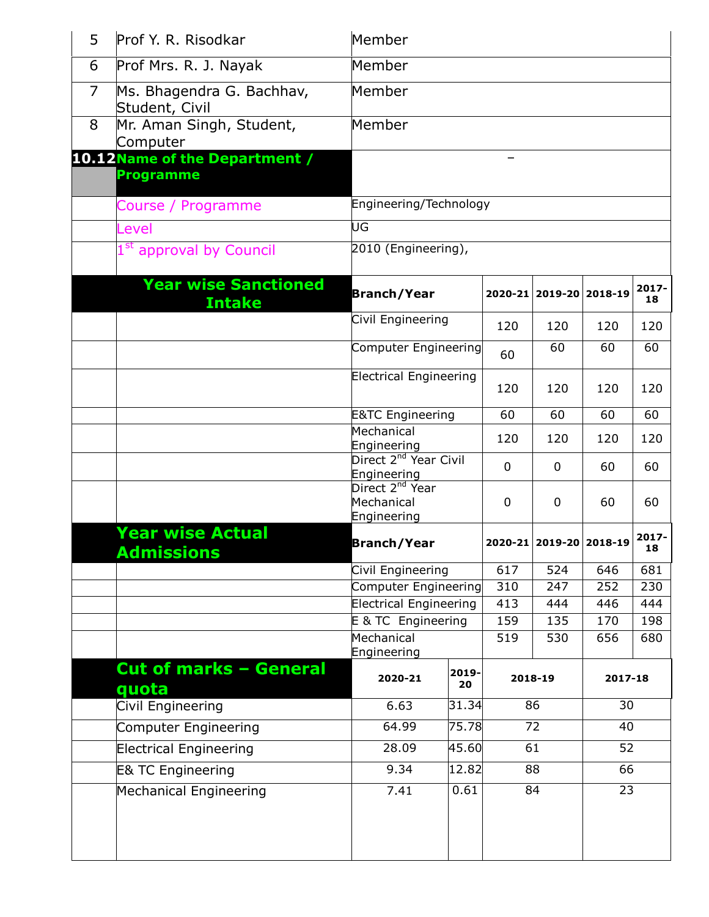| 5              | Prof Y. R. Risodkar                               | Member                                                   |             |                         |                 |             |             |
|----------------|---------------------------------------------------|----------------------------------------------------------|-------------|-------------------------|-----------------|-------------|-------------|
| 6              | Prof Mrs. R. J. Nayak                             | Member                                                   |             |                         |                 |             |             |
| $\overline{7}$ | Ms. Bhagendra G. Bachhav,<br>Student, Civil       | Member                                                   |             |                         |                 |             |             |
| 8              | Mr. Aman Singh, Student,<br>Computer              | Member                                                   |             |                         |                 |             |             |
|                | 10.12Name of the Department /<br><b>Programme</b> |                                                          |             |                         |                 |             |             |
|                | Course / Programme                                | Engineering/Technology                                   |             |                         |                 |             |             |
|                | Level                                             | UG                                                       |             |                         |                 |             |             |
|                | 1 <sup>st</sup> approval by Council               | 2010 (Engineering),                                      |             |                         |                 |             |             |
|                | <b>Year wise Sanctioned</b><br><b>Intake</b>      | <b>Branch/Year</b>                                       |             |                         | 2020-21 2019-20 | 2018-19     | 2017-<br>18 |
|                |                                                   | Civil Engineering                                        |             | 120                     | 120             | 120         | 120         |
|                |                                                   | Computer Engineering                                     |             | 60                      | 60              | 60          | 60          |
|                |                                                   | <b>Electrical Engineering</b>                            |             | 120                     | 120             | 120         | 120         |
|                |                                                   | <b>E&amp;TC Engineering</b>                              |             | 60                      | 60              | 60          | 60          |
|                |                                                   | Mechanical<br>Engineering                                |             | 120                     | 120             | 120         | 120         |
|                |                                                   | Direct 2 <sup>nd</sup> Year Civil<br>Engineering         |             | 0                       | 0               | 60          | 60          |
|                |                                                   | Direct 2 <sup>nd</sup> Year<br>Mechanical<br>Engineering |             | 0                       | 0               | 60          | 60          |
|                | <b>Year wise Actual</b><br><b>Admissions</b>      | <b>Branch/Year</b>                                       |             | 2020-21 2019-20 2018-19 |                 | 2017-<br>18 |             |
|                |                                                   | Civil Engineering                                        |             | 617                     | 524             | 646         | 681         |
|                |                                                   | Computer Engineering                                     |             | 310                     | 247             | 252         | 230         |
|                |                                                   | <b>Electrical Engineering</b><br>E & TC Engineering      |             | 413<br>159              | 444<br>135      | 446<br>170  | 444<br>198  |
|                |                                                   | Mechanical<br>Engineering                                |             | 519                     | 530             | 656         | 680         |
|                | <b>Cut of marks - General</b><br>quota            | 2020-21                                                  | 2019-<br>20 |                         | 2018-19         |             | 2017-18     |
|                | Civil Engineering                                 | 6.63                                                     | 31.34       |                         | 86              | 30          |             |
|                | Computer Engineering                              | 64.99                                                    | 75.78       |                         | 72              | 40          |             |
|                | <b>Electrical Engineering</b>                     | 28.09                                                    | 45.60       |                         | 61              | 52          |             |
|                | <b>E&amp; TC Engineering</b>                      | 9.34                                                     | 12.82       |                         | 88              | 66          |             |
|                | Mechanical Engineering                            | 7.41                                                     | 0.61        |                         | 84              | 23          |             |
|                |                                                   |                                                          |             |                         |                 |             |             |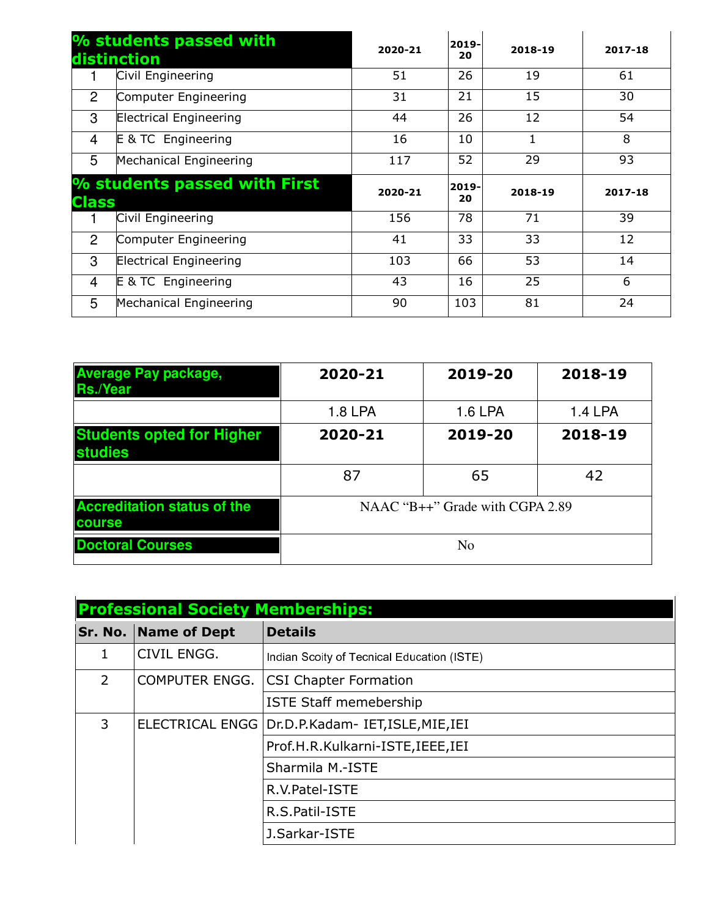| % students passed with<br>distinction |                               | 2020-21 | 2019-<br>20    | 2018-19      | 2017-18 |
|---------------------------------------|-------------------------------|---------|----------------|--------------|---------|
|                                       | Civil Engineering             | 51      | 26             | 19           | 61      |
| $\overline{2}$                        | Computer Engineering          | 31      | 21             | 15           | 30      |
| 3                                     | <b>Electrical Engineering</b> | 44      | 26             | 12           | 54      |
| 4                                     | E & TC Engineering            | 16      | 10             | $\mathbf{1}$ | 8       |
| 5                                     | Mechanical Engineering        | 117     | 52             | 29           | 93      |
| % students passed with First          |                               |         |                |              |         |
| <b>Class</b>                          |                               | 2020-21 | $2019 -$<br>20 | 2018-19      | 2017-18 |
|                                       | Civil Engineering             | 156     | 78             | 71           | 39      |
| 2                                     | Computer Engineering          | 41      | 33             | 33           | 12      |
| 3                                     | <b>Electrical Engineering</b> | 103     | 66             | 53           | 14      |
| $\overline{4}$                        | E & TC Engineering            | 43      | 16             | 25           | 6       |

| <b>Average Pay package,</b><br><b>Rs./Year</b>      | 2020-21 | 2019-20                             | 2018-19        |
|-----------------------------------------------------|---------|-------------------------------------|----------------|
|                                                     | 1.8 LPA | 1.6 LPA                             | <b>1.4 LPA</b> |
| <b>Students opted for Higher</b><br><b>studies</b>  | 2020-21 | 2019-20                             | 2018-19        |
|                                                     | 87      | 65                                  | 42             |
| <b>Accreditation status of the</b><br><b>course</b> |         | NAAC " $B++$ " Grade with CGPA 2.89 |                |
| <b>Doctoral Courses</b>                             |         | No                                  |                |

|               | <b>Professional Society Memberships:</b> |                                            |  |  |  |
|---------------|------------------------------------------|--------------------------------------------|--|--|--|
|               | Sr. No. Name of Dept                     | <b>Details</b>                             |  |  |  |
| 1.            | CIVIL ENGG.                              | Indian Scoity of Tecnical Education (ISTE) |  |  |  |
| $\mathcal{P}$ | <b>COMPUTER ENGG.</b>                    | <b>CSI Chapter Formation</b>               |  |  |  |
|               |                                          | ISTE Staff memebership                     |  |  |  |
| 3             | <b>ELECTRICAL ENGG</b>                   | Dr.D.P.Kadam- IET, ISLE, MIE, IEI          |  |  |  |
|               |                                          | Prof.H.R.Kulkarni-ISTE, IEEE, IEI          |  |  |  |
|               |                                          | Sharmila M.-ISTE                           |  |  |  |
|               |                                          | R.V.Patel-ISTE                             |  |  |  |
|               |                                          | R.S.Patil-ISTE                             |  |  |  |
|               |                                          | J.Sarkar-ISTE                              |  |  |  |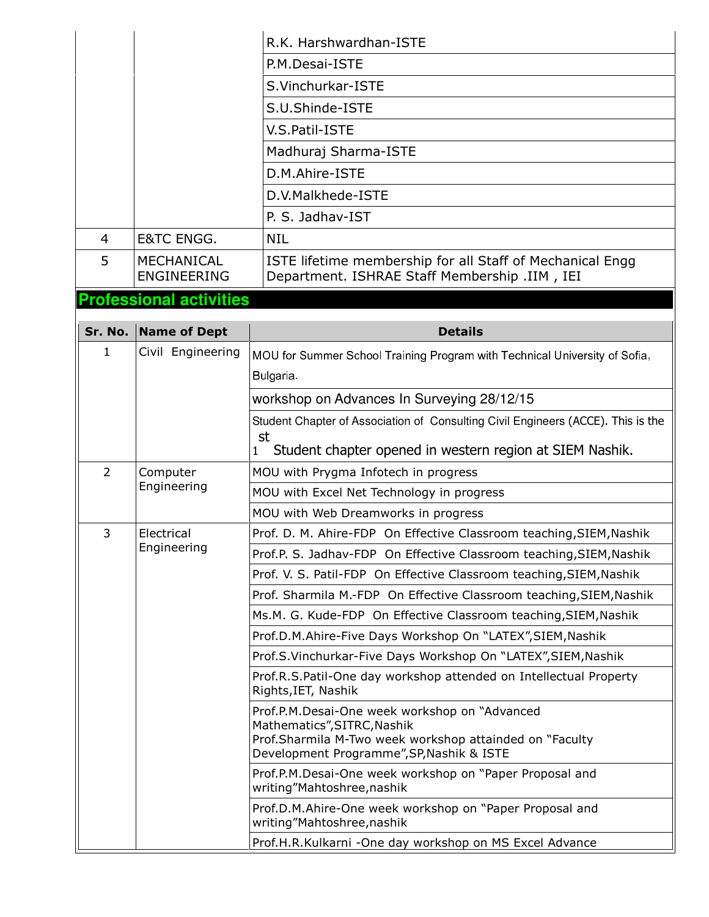|   |                                         | R.K. Harshwardhan-ISTE                                                                                     |
|---|-----------------------------------------|------------------------------------------------------------------------------------------------------------|
|   |                                         | P.M.Desai-ISTE                                                                                             |
|   |                                         | S.Vinchurkar-ISTE                                                                                          |
|   |                                         | S.U.Shinde-ISTE                                                                                            |
|   |                                         | V.S.Patil-ISTE                                                                                             |
|   |                                         | Madhuraj Sharma-ISTE                                                                                       |
|   |                                         | D.M.Ahire-ISTE                                                                                             |
|   |                                         | D.V.Malkhede-ISTE                                                                                          |
|   |                                         | P. S. Jadhav-IST                                                                                           |
| 4 | <b>E&amp;TC ENGG.</b>                   | <b>NIL</b>                                                                                                 |
| 5 | <b>MECHANICAL</b><br><b>ENGINEERING</b> | ISTE lifetime membership for all Staff of Mechanical Engg<br>Department. ISHRAE Staff Membership .IIM, IEI |

## **Professional activities**

|                | Sr. No. Name of Dept      | <b>Details</b>                                                                                                                                                                       |  |  |  |  |
|----------------|---------------------------|--------------------------------------------------------------------------------------------------------------------------------------------------------------------------------------|--|--|--|--|
| $\mathbf{1}$   | Civil Engineering         | MOU for Summer School Training Program with Technical University of Sofia,<br>Bulgaria.                                                                                              |  |  |  |  |
|                |                           | workshop on Advances In Surveying 28/12/15                                                                                                                                           |  |  |  |  |
|                |                           | Student Chapter of Association of Consulting Civil Engineers (ACCE). This is the<br>st<br>Student chapter opened in western region at SIEM Nashik.                                   |  |  |  |  |
|                |                           | 1                                                                                                                                                                                    |  |  |  |  |
| $\overline{2}$ | Computer<br>Engineering   | MOU with Prygma Infotech in progress                                                                                                                                                 |  |  |  |  |
|                |                           | MOU with Excel Net Technology in progress                                                                                                                                            |  |  |  |  |
|                |                           | MOU with Web Dreamworks in progress                                                                                                                                                  |  |  |  |  |
| 3              | Electrical<br>Engineering | Prof. D. M. Ahire-FDP On Effective Classroom teaching, SIEM, Nashik                                                                                                                  |  |  |  |  |
|                |                           | Prof.P. S. Jadhav-FDP On Effective Classroom teaching, SIEM, Nashik                                                                                                                  |  |  |  |  |
|                |                           | Prof. V. S. Patil-FDP On Effective Classroom teaching, SIEM, Nashik                                                                                                                  |  |  |  |  |
|                |                           | Prof. Sharmila M.-FDP On Effective Classroom teaching, SIEM, Nashik                                                                                                                  |  |  |  |  |
|                |                           | Ms.M. G. Kude-FDP On Effective Classroom teaching, SIEM, Nashik                                                                                                                      |  |  |  |  |
|                |                           | Prof.D.M.Ahire-Five Days Workshop On "LATEX", SIEM, Nashik                                                                                                                           |  |  |  |  |
|                |                           | Prof.S.Vinchurkar-Five Days Workshop On "LATEX", SIEM, Nashik                                                                                                                        |  |  |  |  |
|                |                           | Prof.R.S.Patil-One day workshop attended on Intellectual Property<br>Rights, IET, Nashik                                                                                             |  |  |  |  |
|                |                           | Prof.P.M.Desai-One week workshop on "Advanced<br>Mathematics", SITRC, Nashik<br>Prof.Sharmila M-Two week workshop attainded on "Faculty<br>Development Programme", SP, Nashik & ISTE |  |  |  |  |
|                |                           | Prof.P.M.Desai-One week workshop on "Paper Proposal and<br>writing"Mahtoshree, nashik                                                                                                |  |  |  |  |
|                |                           | Prof.D.M.Ahire-One week workshop on "Paper Proposal and<br>writing"Mahtoshree, nashik                                                                                                |  |  |  |  |
|                |                           | Prof.H.R.Kulkarni -One day workshop on MS Excel Advance                                                                                                                              |  |  |  |  |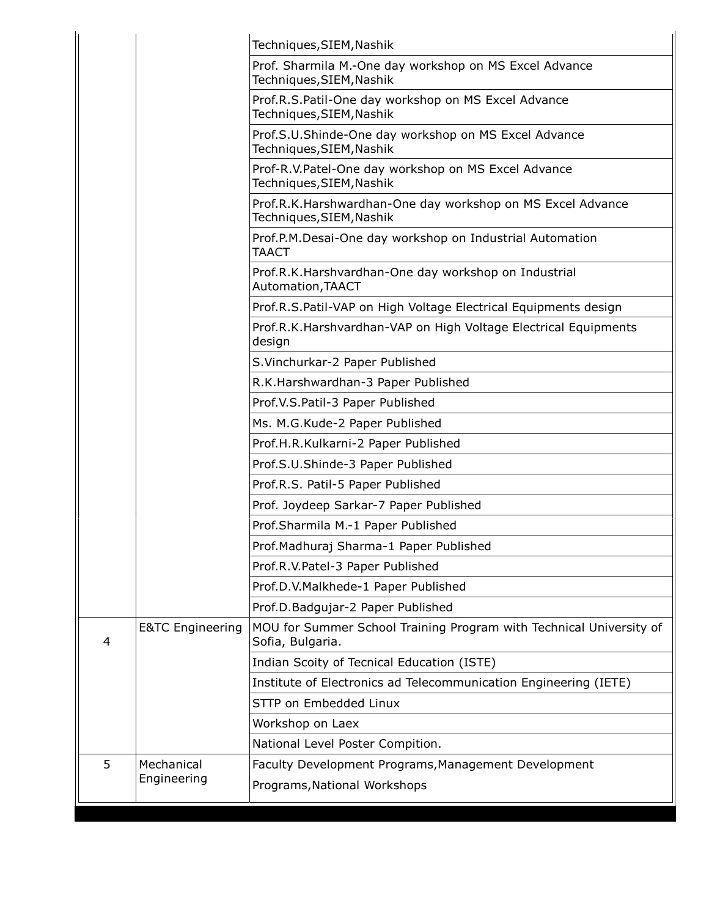|   |                             | Techniques, SIEM, Nashik                                                                |
|---|-----------------------------|-----------------------------------------------------------------------------------------|
|   |                             | Prof. Sharmila M.-One day workshop on MS Excel Advance<br>Techniques, SIEM, Nashik      |
|   |                             | Prof.R.S.Patil-One day workshop on MS Excel Advance<br>Techniques, SIEM, Nashik         |
|   |                             | Prof.S.U.Shinde-One day workshop on MS Excel Advance<br>Techniques, SIEM, Nashik        |
|   |                             | Prof-R.V.Patel-One day workshop on MS Excel Advance<br>Techniques, SIEM, Nashik         |
|   |                             | Prof.R.K.Harshwardhan-One day workshop on MS Excel Advance<br>Techniques, SIEM, Nashik  |
|   |                             | Prof.P.M.Desai-One day workshop on Industrial Automation<br><b>TAACT</b>                |
|   |                             | Prof.R.K.Harshvardhan-One day workshop on Industrial<br>Automation, TAACT               |
|   |                             | Prof.R.S.Patil-VAP on High Voltage Electrical Equipments design                         |
|   |                             | Prof.R.K.Harshvardhan-VAP on High Voltage Electrical Equipments<br>design               |
|   |                             | S.Vinchurkar-2 Paper Published                                                          |
|   |                             | R.K.Harshwardhan-3 Paper Published                                                      |
|   |                             | Prof.V.S.Patil-3 Paper Published                                                        |
|   |                             | Ms. M.G.Kude-2 Paper Published                                                          |
|   |                             | Prof.H.R.Kulkarni-2 Paper Published                                                     |
|   |                             | Prof.S.U.Shinde-3 Paper Published                                                       |
|   |                             | Prof.R.S. Patil-5 Paper Published                                                       |
|   |                             | Prof. Joydeep Sarkar-7 Paper Published                                                  |
|   |                             | Prof.Sharmila M.-1 Paper Published                                                      |
|   |                             | Prof.Madhuraj Sharma-1 Paper Published                                                  |
|   |                             | Prof.R.V.Patel-3 Paper Published                                                        |
|   |                             | Prof.D.V.Malkhede-1 Paper Published                                                     |
|   |                             | Prof.D.Badgujar-2 Paper Published                                                       |
| 4 | <b>E&amp;TC Engineering</b> | MOU for Summer School Training Program with Technical University of<br>Sofia, Bulgaria. |
|   |                             | Indian Scoity of Tecnical Education (ISTE)                                              |
|   |                             | Institute of Electronics ad Telecommunication Engineering (IETE)                        |
|   |                             | STTP on Embedded Linux                                                                  |
|   |                             | Workshop on Laex                                                                        |
|   |                             | National Level Poster Compition.                                                        |
| 5 | Mechanical                  | Faculty Development Programs, Management Development                                    |
|   | Engineering                 | Programs, National Workshops                                                            |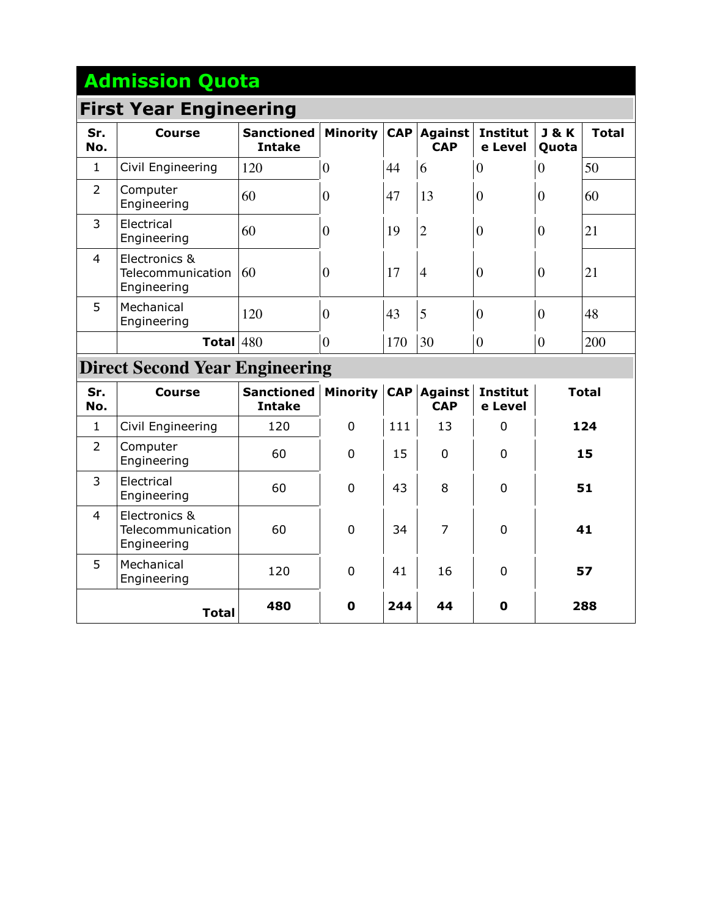### Admission Quota

3 Electrical

4 Electronics &

5 Mechanical

Engineering

Telecommunication

|                | <b>First Year Engineering</b>                     |                                    |                 |            |                                  |                            |                           |              |
|----------------|---------------------------------------------------|------------------------------------|-----------------|------------|----------------------------------|----------------------------|---------------------------|--------------|
| Sr.<br>No.     | Course                                            | <b>Sanctioned</b><br><b>Intake</b> | <b>Minority</b> | <b>CAP</b> | Against<br><b>CAP</b>            | <b>Institut</b><br>e Level | <b>J &amp; K</b><br>Quota | <b>Total</b> |
| $\mathbf{1}$   | Civil Engineering                                 | 120                                | $\overline{0}$  | 44         | 6                                | $\overline{0}$             | $\overline{0}$            | 50           |
| $\overline{2}$ | Computer<br>Engineering                           | 60                                 | $\overline{0}$  | 47         | 13                               | $\overline{0}$             | $\overline{0}$            | 60           |
| 3              | Electrical<br>Engineering                         | 60                                 | $\overline{0}$  | 19         | $\overline{2}$                   | $\theta$                   | $\boldsymbol{0}$          | 21           |
| 4              | Electronics &<br>Telecommunication<br>Engineering | 60                                 | $\theta$        | 17         | $\overline{4}$                   | $\overline{0}$             | $\overline{0}$            | 21           |
| 5              | Mechanical<br>Engineering                         | 120                                | $\theta$        | 43         | 5                                | $\theta$                   | $\boldsymbol{0}$          | 48           |
|                | Total $ 480$                                      |                                    | $\Omega$        | 170        | 30                               | $\overline{0}$             | $\overline{0}$            | 200          |
|                | <b>Direct Second Year Engineering</b>             |                                    |                 |            |                                  |                            |                           |              |
| Sr.<br>No.     | <b>Course</b>                                     | <b>Sanctioned</b><br><b>Intake</b> | <b>Minority</b> |            | <b>CAP Against</b><br><b>CAP</b> | <b>Institut</b><br>e Level | <b>Total</b>              |              |
| $\mathbf{1}$   | Civil Engineering                                 | 120                                | 0               | 111        | 13                               | 0                          |                           | 124          |
| 2              | Computer                                          | $\epsilon$ $\sim$                  | $\sim$          | 1 E .      | $\sim$                           | $\sim$                     |                           | 4 E          |

 $\begin{array}{c|c|c|c|c|c|c} \hline \text{Computer} & & \text{60} & 0 & 15 & 0 & 0 & 15 \ \hline \end{array}$ 

Engineering 60 0 43 8 0 51

Piechanical  $\begin{array}{c|c|c|c|c|c|c|c} \hline \text{Fugineering} & & 120 & 0 & 41 & 16 & 0 & \textbf{57} \end{array}$ 

60 0 34 7 0 **41** 

Total 480 0 244 44 0 288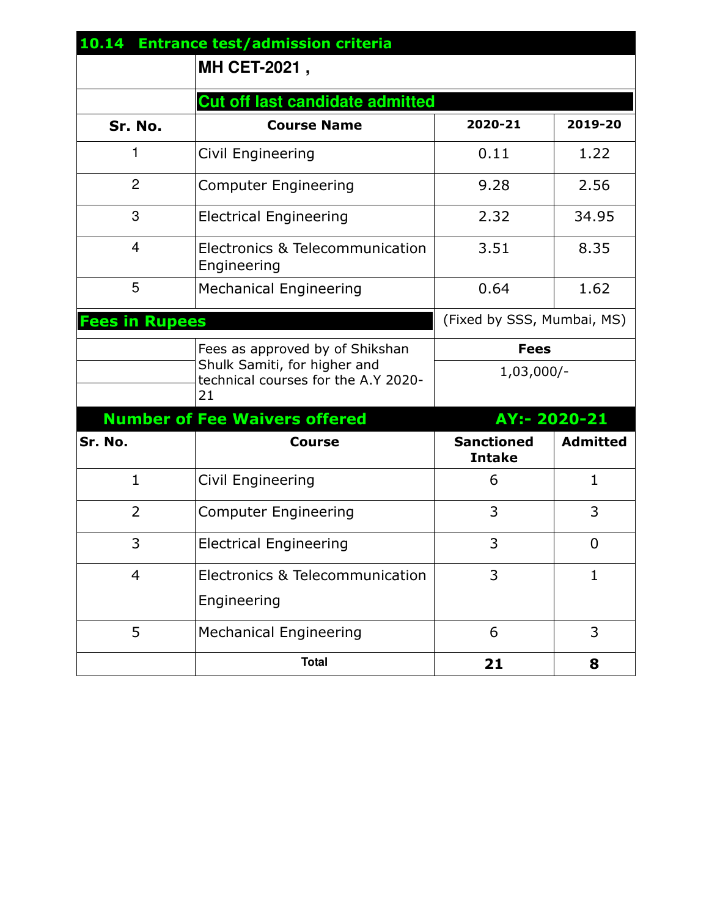| 10.14 Entrance test/admission criteria              |                                                                           |                                    |                 |  |
|-----------------------------------------------------|---------------------------------------------------------------------------|------------------------------------|-----------------|--|
|                                                     | <b>MH CET-2021,</b>                                                       |                                    |                 |  |
|                                                     | <b>Cut off last candidate admitted</b>                                    |                                    |                 |  |
| Sr. No.                                             | <b>Course Name</b>                                                        | 2020-21                            | 2019-20         |  |
|                                                     | Civil Engineering                                                         | 0.11                               | 1.22            |  |
| $\overline{2}$                                      | <b>Computer Engineering</b>                                               | 9.28                               | 2.56            |  |
| 3                                                   | <b>Electrical Engineering</b>                                             | 2.32                               | 34.95           |  |
| $\overline{4}$                                      | Electronics & Telecommunication<br>Engineering                            | 3.51                               | 8.35            |  |
| 5                                                   | <b>Mechanical Engineering</b>                                             | 0.64                               | 1.62            |  |
| <b>Fees in Rupees</b><br>(Fixed by SSS, Mumbai, MS) |                                                                           |                                    |                 |  |
|                                                     | Fees as approved by of Shikshan                                           | <b>Fees</b>                        |                 |  |
|                                                     | Shulk Samiti, for higher and<br>technical courses for the A.Y 2020-<br>21 | $1,03,000/-$                       |                 |  |
|                                                     | <b>Number of Fee Waivers offered</b>                                      | AY:- 2020-21                       |                 |  |
| Sr. No.                                             | <b>Course</b>                                                             | <b>Sanctioned</b><br><b>Intake</b> | <b>Admitted</b> |  |
| 1                                                   | Civil Engineering                                                         | 6                                  | 1               |  |
| $\overline{2}$                                      | <b>Computer Engineering</b>                                               | 3                                  | 3               |  |
| 3                                                   | <b>Electrical Engineering</b>                                             | 3                                  | 0               |  |
| 4                                                   | Electronics & Telecommunication                                           | 3                                  | 1               |  |
|                                                     | Engineering                                                               |                                    |                 |  |
| 5                                                   | <b>Mechanical Engineering</b>                                             | 6                                  | 3               |  |
|                                                     | <b>Total</b>                                                              | 21                                 | 8               |  |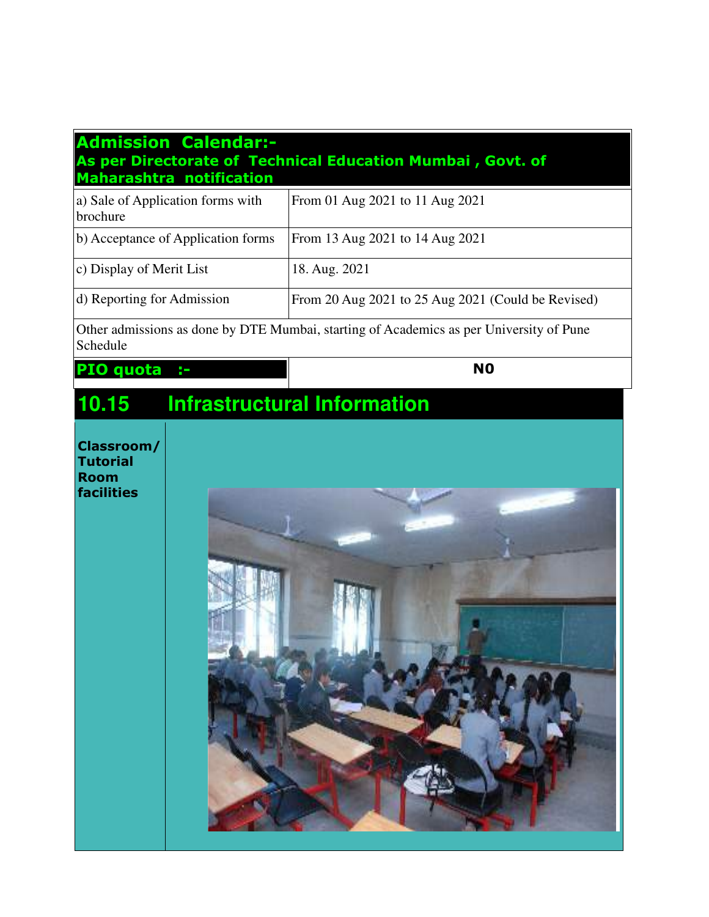| <b>Admission Calendar:-</b><br>As per Directorate of Technical Education Mumbai, Govt. of<br><b>Maharashtra notification</b> |                                                    |  |  |
|------------------------------------------------------------------------------------------------------------------------------|----------------------------------------------------|--|--|
| a) Sale of Application forms with<br>brochure                                                                                | From 01 Aug 2021 to 11 Aug 2021                    |  |  |
| b) Acceptance of Application forms                                                                                           | From 13 Aug 2021 to 14 Aug 2021                    |  |  |
| c) Display of Merit List                                                                                                     | 18. Aug. 2021                                      |  |  |
| d) Reporting for Admission                                                                                                   | From 20 Aug 2021 to 25 Aug 2021 (Could be Revised) |  |  |

Other admissions as done by DTE Mumbai, starting of Academics as per University of Pune Schedule

### PIO quota :- No

# **10.15 Infrastructural Information**

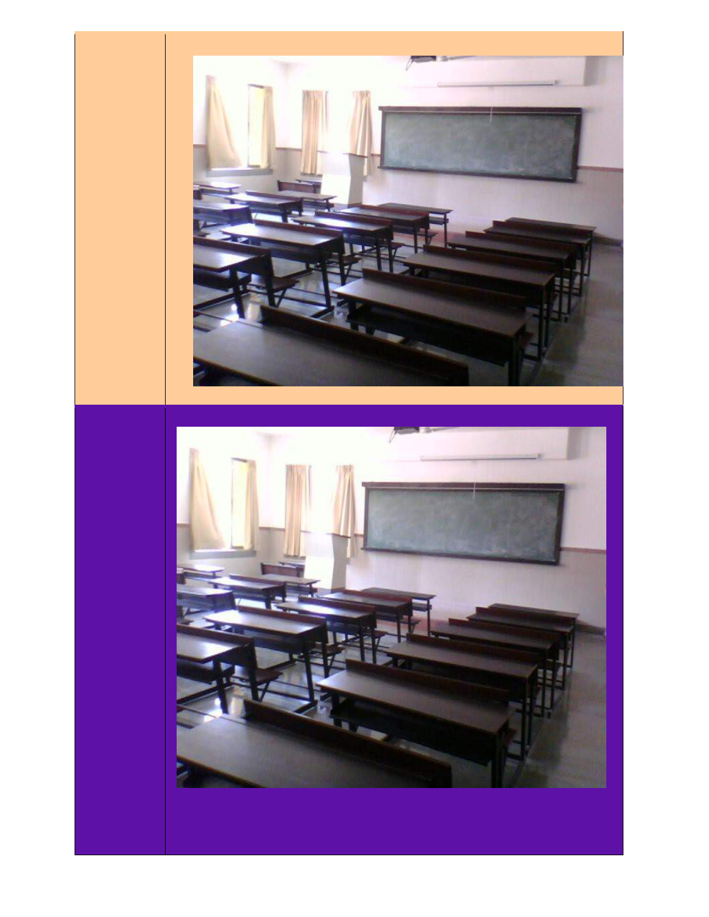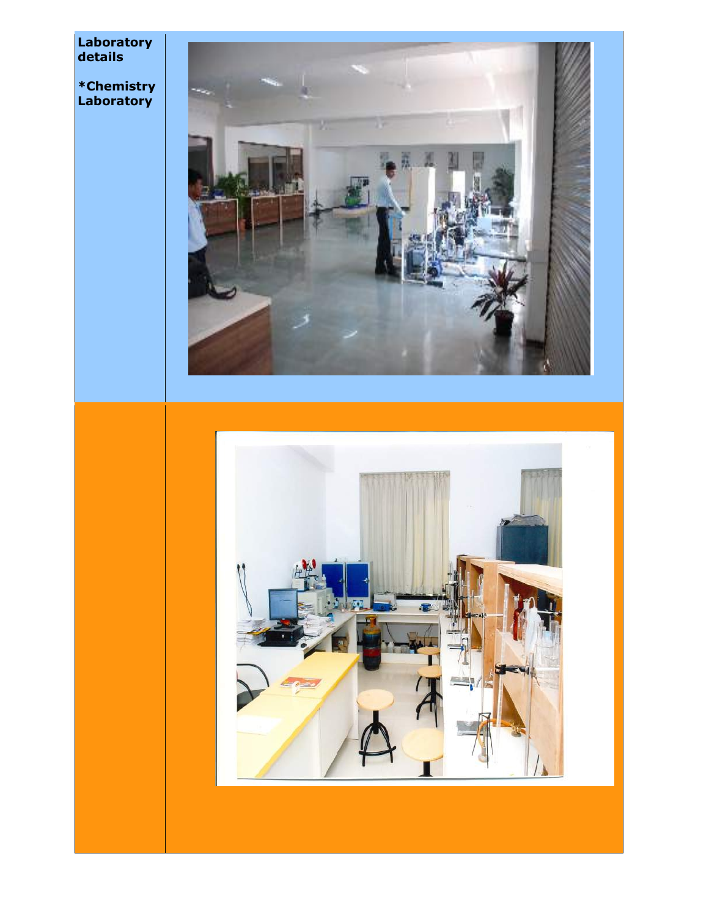#### **Laboratory** details

#### \*Chemistry Laboratory



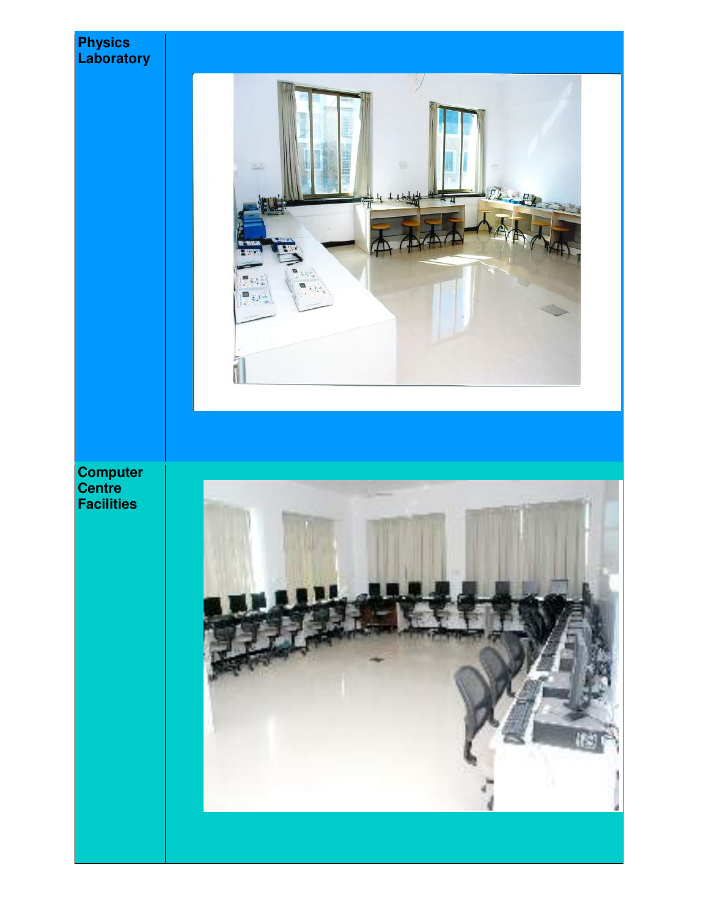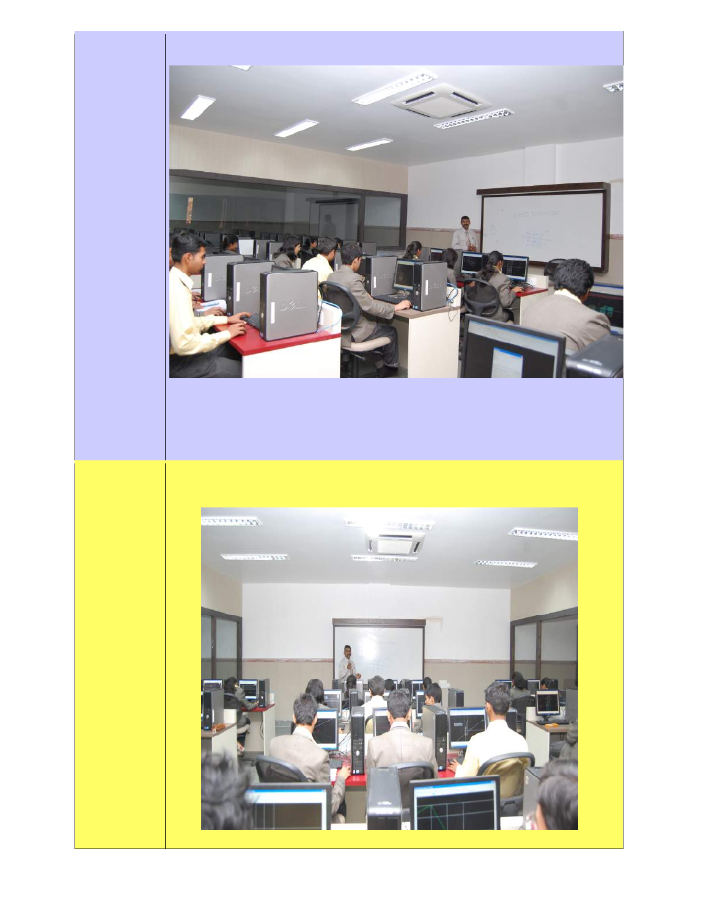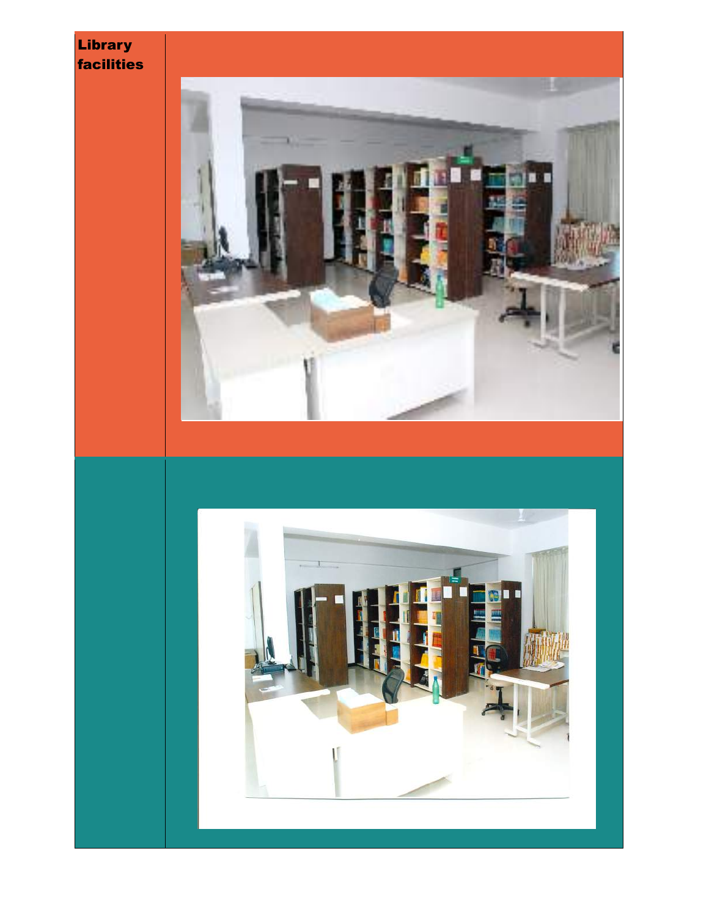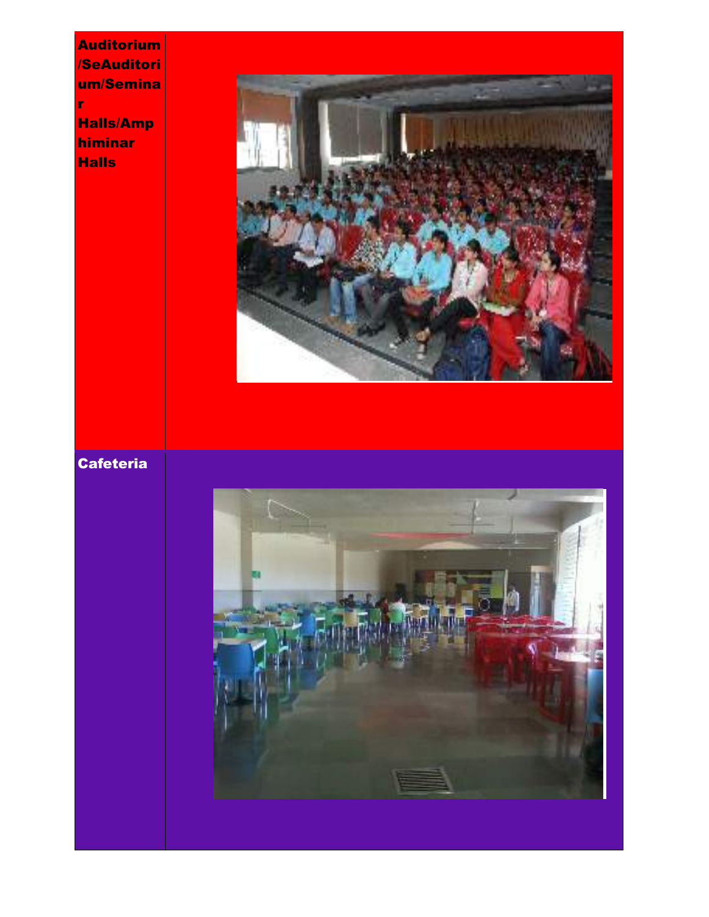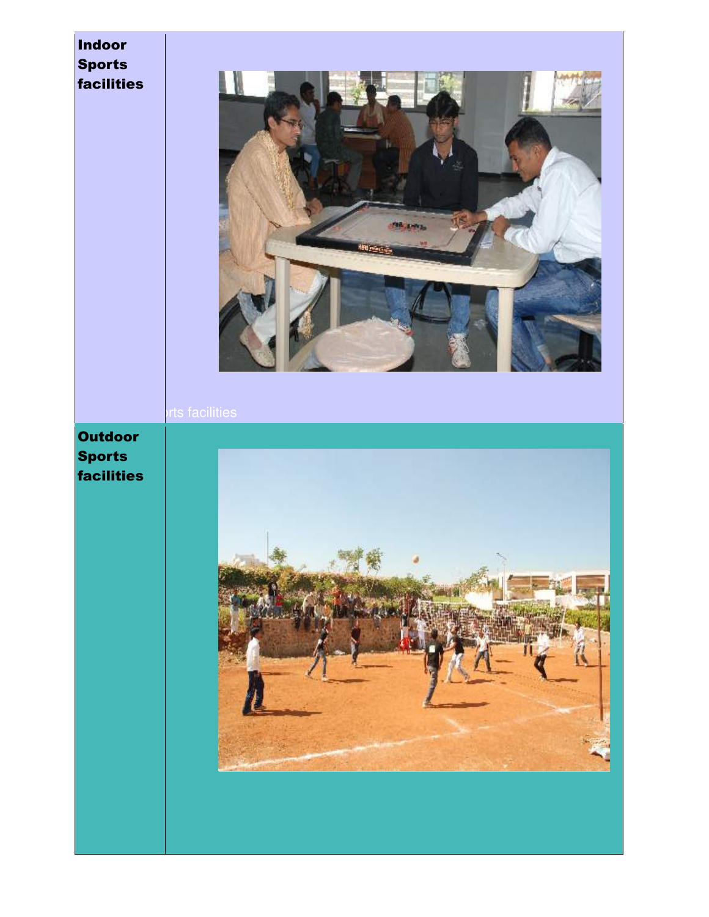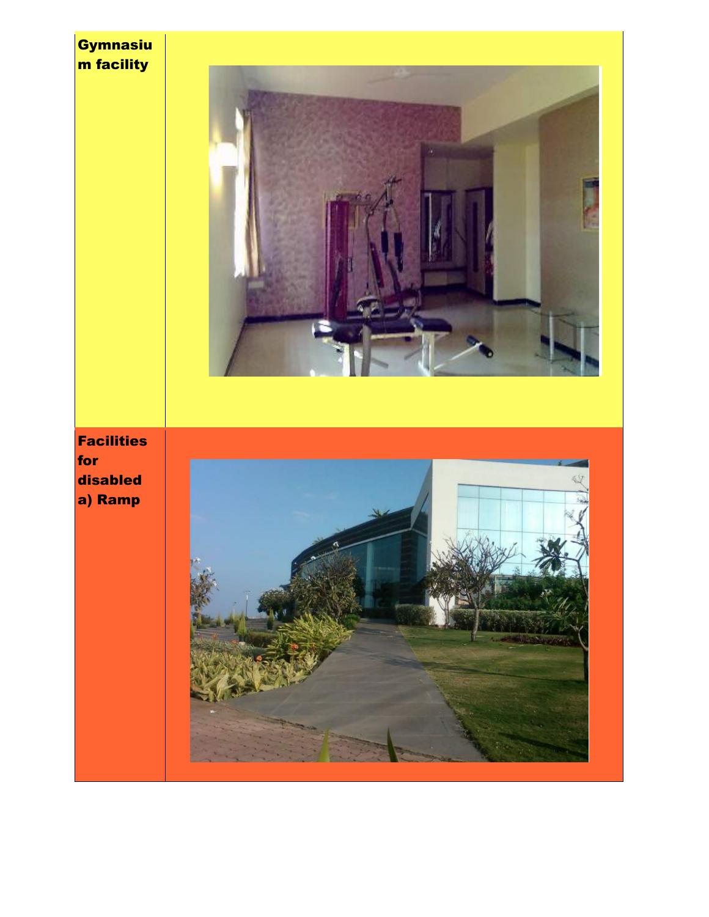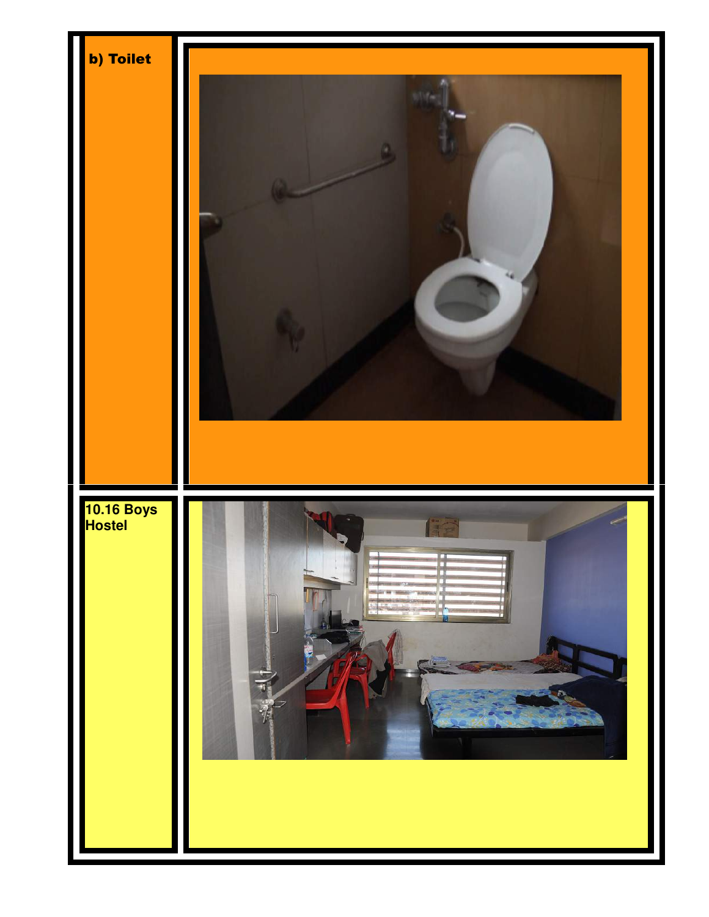